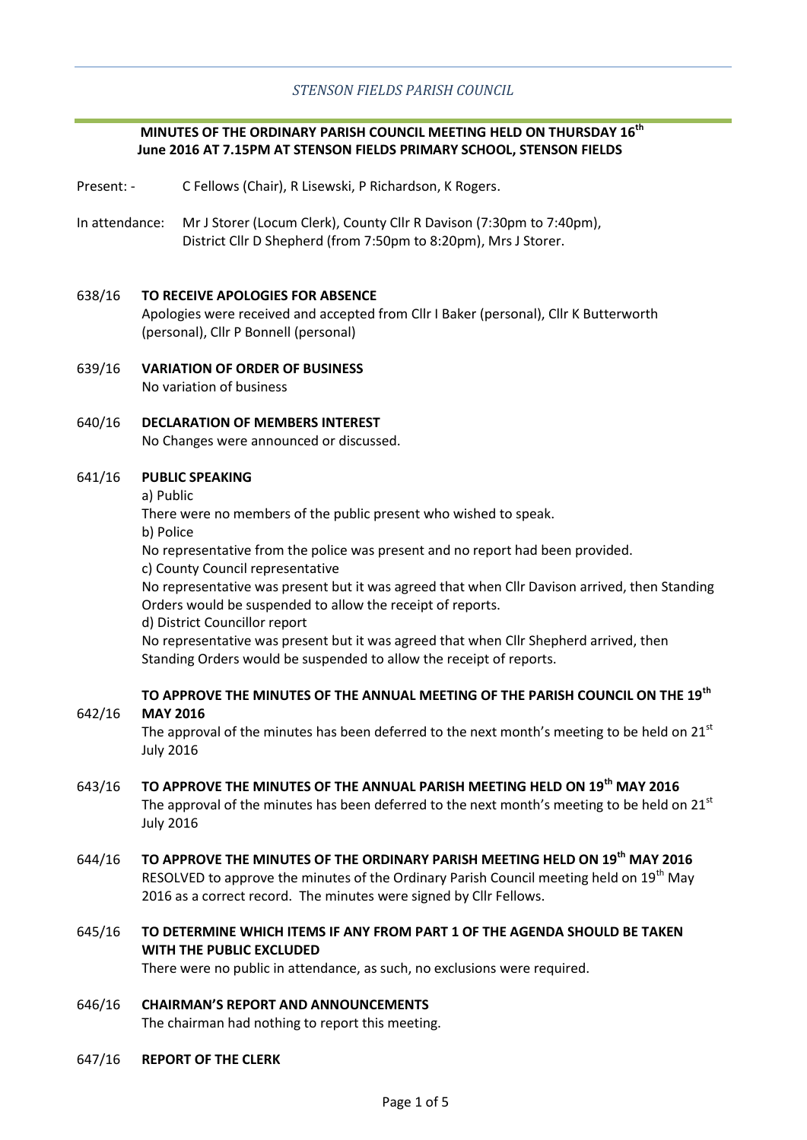# *STENSON FIELDS PARISH COUNCIL*

# **MINUTES OF THE ORDINARY PARISH COUNCIL MEETING HELD ON THURSDAY 16th June 2016 AT 7.15PM AT STENSON FIELDS PRIMARY SCHOOL, STENSON FIELDS**

- Present: C Fellows (Chair), R Lisewski, P Richardson, K Rogers.
- In attendance: Mr J Storer (Locum Clerk), County Cllr R Davison (7:30pm to 7:40pm), District Cllr D Shepherd (from 7:50pm to 8:20pm), Mrs J Storer.

## 638/16 **TO RECEIVE APOLOGIES FOR ABSENCE**

Apologies were received and accepted from Cllr I Baker (personal), Cllr K Butterworth (personal), Cllr P Bonnell (personal)

- 639/16 **VARIATION OF ORDER OF BUSINESS** No variation of business
- 640/16 **DECLARATION OF MEMBERS INTEREST** No Changes were announced or discussed.

#### 641/16 **PUBLIC SPEAKING**

a) Public

There were no members of the public present who wished to speak.

b) Police

642/16

No representative from the police was present and no report had been provided.

c) County Council representative

No representative was present but it was agreed that when Cllr Davison arrived, then Standing Orders would be suspended to allow the receipt of reports.

d) District Councillor report

No representative was present but it was agreed that when Cllr Shepherd arrived, then Standing Orders would be suspended to allow the receipt of reports.

**TO APPROVE THE MINUTES OF THE ANNUAL MEETING OF THE PARISH COUNCIL ON THE 19th MAY 2016**

The approval of the minutes has been deferred to the next month's meeting to be held on  $21<sup>st</sup>$ July 2016

- 643/16 **TO APPROVE THE MINUTES OF THE ANNUAL PARISH MEETING HELD ON 19th MAY 2016** The approval of the minutes has been deferred to the next month's meeting to be held on  $21<sup>st</sup>$ July 2016
- 644/16 **TO APPROVE THE MINUTES OF THE ORDINARY PARISH MEETING HELD ON 19th MAY 2016** RESOLVED to approve the minutes of the Ordinary Parish Council meeting held on  $19<sup>th</sup>$  May 2016 as a correct record. The minutes were signed by Cllr Fellows.
- 645/16 **TO DETERMINE WHICH ITEMS IF ANY FROM PART 1 OF THE AGENDA SHOULD BE TAKEN WITH THE PUBLIC EXCLUDED**

There were no public in attendance, as such, no exclusions were required.

## 646/16 **CHAIRMAN'S REPORT AND ANNOUNCEMENTS**

The chairman had nothing to report this meeting.

647/16 **REPORT OF THE CLERK**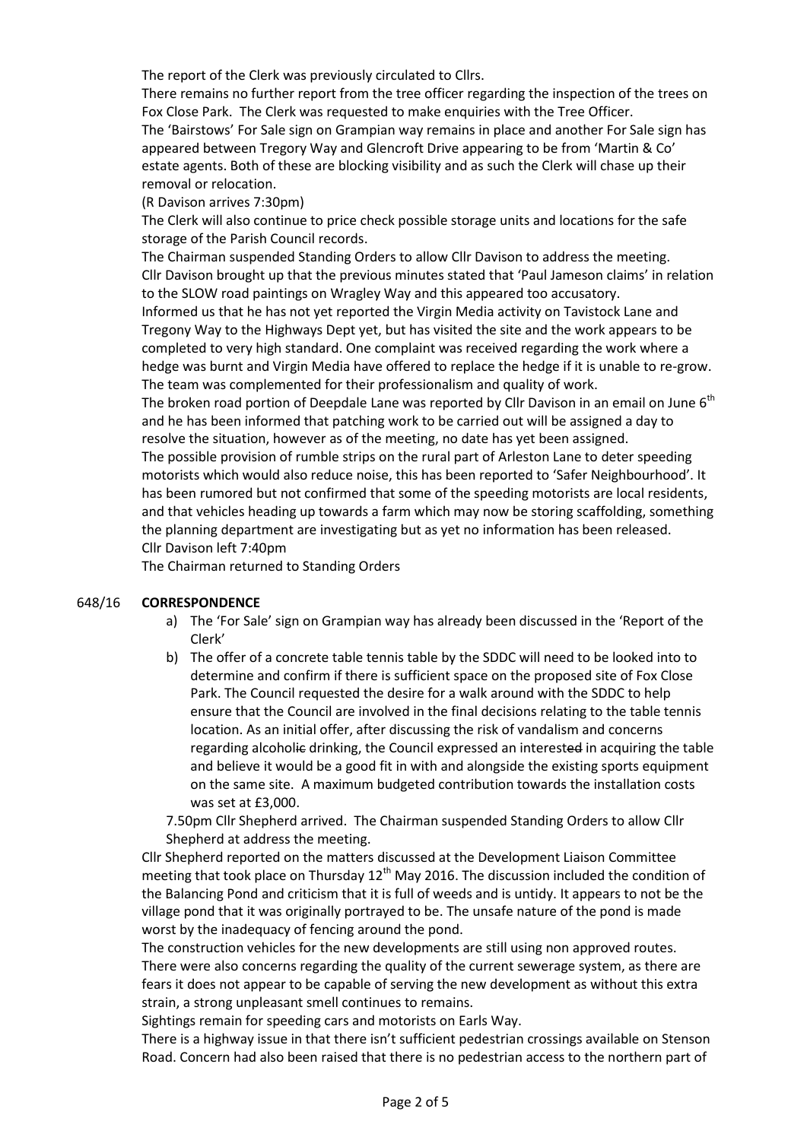The report of the Clerk was previously circulated to Cllrs.

There remains no further report from the tree officer regarding the inspection of the trees on Fox Close Park. The Clerk was requested to make enquiries with the Tree Officer. The 'Bairstows' For Sale sign on Grampian way remains in place and another For Sale sign has appeared between Tregory Way and Glencroft Drive appearing to be from 'Martin & Co' estate agents. Both of these are blocking visibility and as such the Clerk will chase up their removal or relocation.

# (R Davison arrives 7:30pm)

The Clerk will also continue to price check possible storage units and locations for the safe storage of the Parish Council records.

The Chairman suspended Standing Orders to allow Cllr Davison to address the meeting. Cllr Davison brought up that the previous minutes stated that 'Paul Jameson claims' in relation to the SLOW road paintings on Wragley Way and this appeared too accusatory.

Informed us that he has not yet reported the Virgin Media activity on Tavistock Lane and Tregony Way to the Highways Dept yet, but has visited the site and the work appears to be completed to very high standard. One complaint was received regarding the work where a hedge was burnt and Virgin Media have offered to replace the hedge if it is unable to re-grow. The team was complemented for their professionalism and quality of work.

The broken road portion of Deepdale Lane was reported by Cllr Davison in an email on June  $6<sup>th</sup>$ and he has been informed that patching work to be carried out will be assigned a day to resolve the situation, however as of the meeting, no date has yet been assigned.

The possible provision of rumble strips on the rural part of Arleston Lane to deter speeding motorists which would also reduce noise, this has been reported to 'Safer Neighbourhood'. It has been rumored but not confirmed that some of the speeding motorists are local residents, and that vehicles heading up towards a farm which may now be storing scaffolding, something the planning department are investigating but as yet no information has been released. Cllr Davison left 7:40pm

The Chairman returned to Standing Orders

#### 648/16 **CORRESPONDENCE**

- a) The 'For Sale' sign on Grampian way has already been discussed in the 'Report of the Clerk'
- b) The offer of a concrete table tennis table by the SDDC will need to be looked into to determine and confirm if there is sufficient space on the proposed site of Fox Close Park. The Council requested the desire for a walk around with the SDDC to help ensure that the Council are involved in the final decisions relating to the table tennis location. As an initial offer, after discussing the risk of vandalism and concerns regarding alcoholie drinking, the Council expressed an interested in acquiring the table and believe it would be a good fit in with and alongside the existing sports equipment on the same site. A maximum budgeted contribution towards the installation costs was set at £3,000.

7.50pm Cllr Shepherd arrived. The Chairman suspended Standing Orders to allow Cllr Shepherd at address the meeting.

Cllr Shepherd reported on the matters discussed at the Development Liaison Committee meeting that took place on Thursday  $12<sup>th</sup>$  May 2016. The discussion included the condition of the Balancing Pond and criticism that it is full of weeds and is untidy. It appears to not be the village pond that it was originally portrayed to be. The unsafe nature of the pond is made worst by the inadequacy of fencing around the pond.

The construction vehicles for the new developments are still using non approved routes. There were also concerns regarding the quality of the current sewerage system, as there are fears it does not appear to be capable of serving the new development as without this extra strain, a strong unpleasant smell continues to remains.

Sightings remain for speeding cars and motorists on Earls Way.

There is a highway issue in that there isn't sufficient pedestrian crossings available on Stenson Road. Concern had also been raised that there is no pedestrian access to the northern part of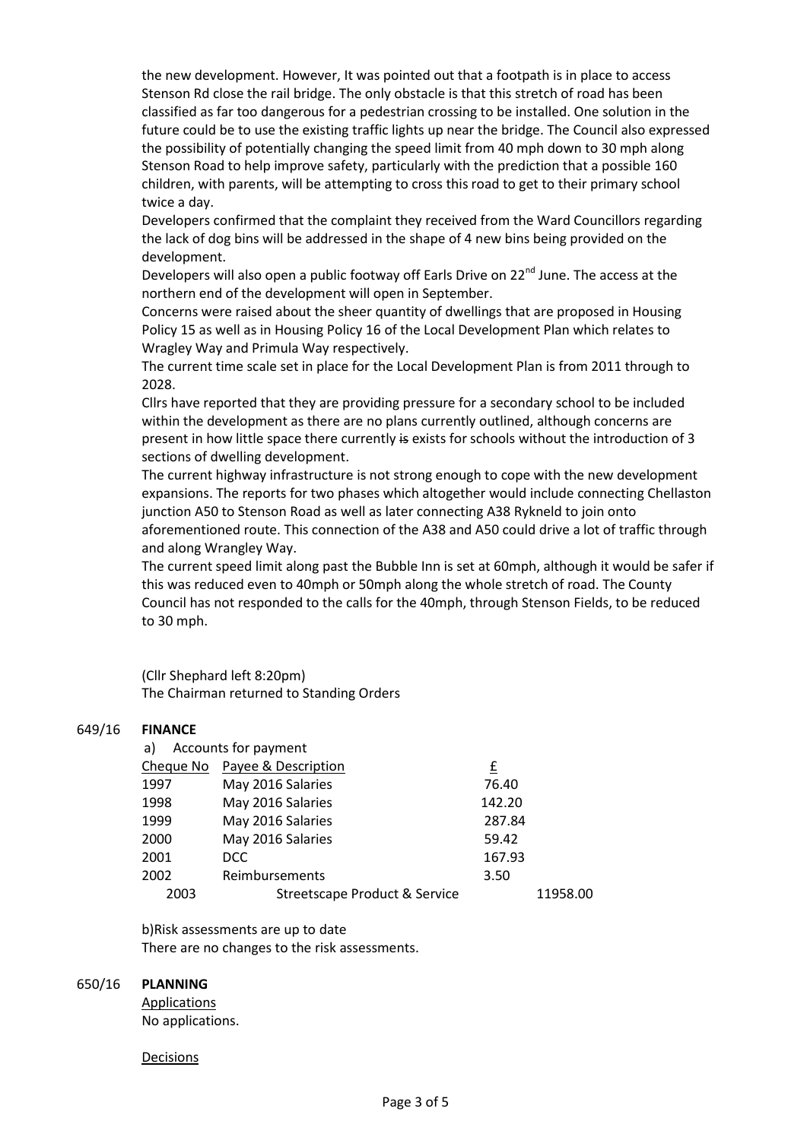the new development. However, It was pointed out that a footpath is in place to access Stenson Rd close the rail bridge. The only obstacle is that this stretch of road has been classified as far too dangerous for a pedestrian crossing to be installed. One solution in the future could be to use the existing traffic lights up near the bridge. The Council also expressed the possibility of potentially changing the speed limit from 40 mph down to 30 mph along Stenson Road to help improve safety, particularly with the prediction that a possible 160 children, with parents, will be attempting to cross this road to get to their primary school twice a day.

Developers confirmed that the complaint they received from the Ward Councillors regarding the lack of dog bins will be addressed in the shape of 4 new bins being provided on the development.

Developers will also open a public footway off Earls Drive on 22<sup>nd</sup> June. The access at the northern end of the development will open in September.

Concerns were raised about the sheer quantity of dwellings that are proposed in Housing Policy 15 as well as in Housing Policy 16 of the Local Development Plan which relates to Wragley Way and Primula Way respectively.

The current time scale set in place for the Local Development Plan is from 2011 through to 2028.

Cllrs have reported that they are providing pressure for a secondary school to be included within the development as there are no plans currently outlined, although concerns are present in how little space there currently is exists for schools without the introduction of 3 sections of dwelling development.

The current highway infrastructure is not strong enough to cope with the new development expansions. The reports for two phases which altogether would include connecting Chellaston junction A50 to Stenson Road as well as later connecting A38 Rykneld to join onto aforementioned route. This connection of the A38 and A50 could drive a lot of traffic through and along Wrangley Way.

The current speed limit along past the Bubble Inn is set at 60mph, although it would be safer if this was reduced even to 40mph or 50mph along the whole stretch of road. The County Council has not responded to the calls for the 40mph, through Stenson Fields, to be reduced to 30 mph.

(Cllr Shephard left 8:20pm)

The Chairman returned to Standing Orders

#### 649/16 **FINANCE**

| Accounts for payment<br>a) |                               |        |          |
|----------------------------|-------------------------------|--------|----------|
|                            | Cheque No Payee & Description | £      |          |
| 1997                       | May 2016 Salaries             | 76.40  |          |
| 1998                       | May 2016 Salaries             | 142.20 |          |
| 1999                       | May 2016 Salaries             | 287.84 |          |
| 2000                       | May 2016 Salaries             | 59.42  |          |
| 2001                       | DCC                           | 167.93 |          |
| 2002                       | Reimbursements                | 3.50   |          |
| 2003                       | Streetscape Product & Service |        | 11958.00 |

b)Risk assessments are up to date There are no changes to the risk assessments.

#### 650/16 **PLANNING**

Applications No applications.

**Decisions**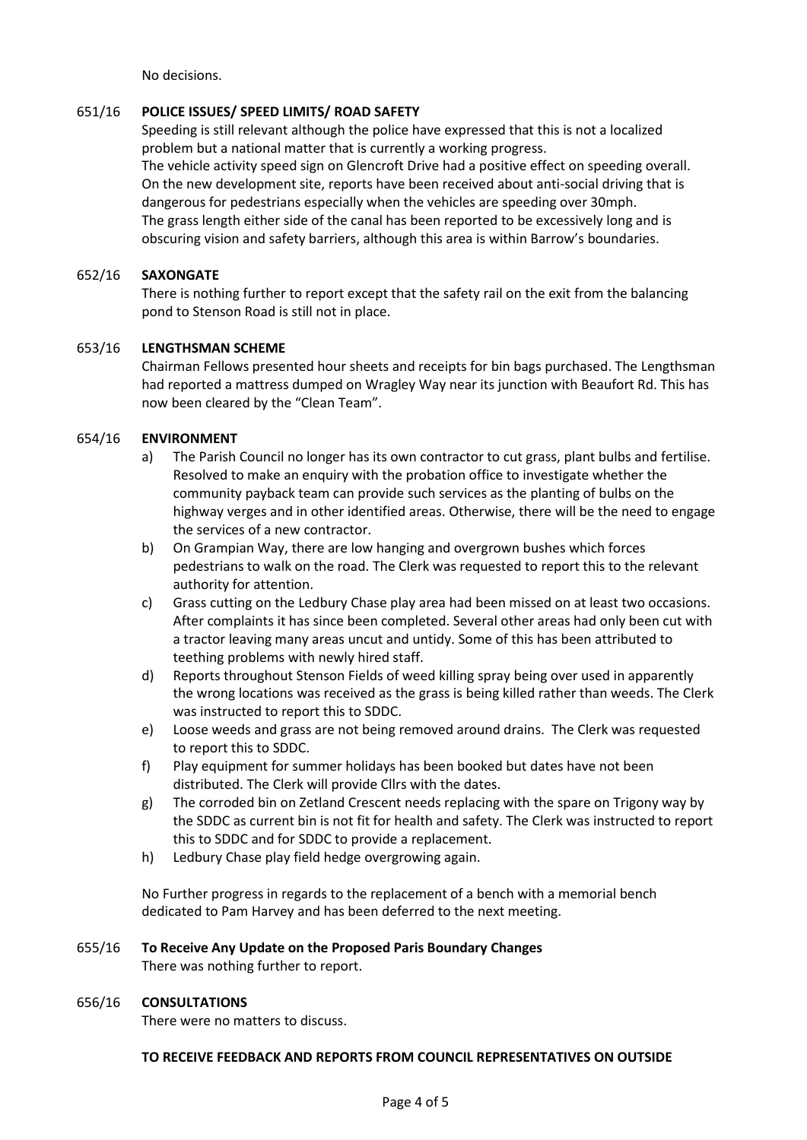No decisions.

#### 651/16 **POLICE ISSUES/ SPEED LIMITS/ ROAD SAFETY**

Speeding is still relevant although the police have expressed that this is not a localized problem but a national matter that is currently a working progress. The vehicle activity speed sign on Glencroft Drive had a positive effect on speeding overall. On the new development site, reports have been received about anti-social driving that is dangerous for pedestrians especially when the vehicles are speeding over 30mph. The grass length either side of the canal has been reported to be excessively long and is obscuring vision and safety barriers, although this area is within Barrow's boundaries.

## 652/16 **SAXONGATE**

There is nothing further to report except that the safety rail on the exit from the balancing pond to Stenson Road is still not in place.

## 653/16 **LENGTHSMAN SCHEME**

Chairman Fellows presented hour sheets and receipts for bin bags purchased. The Lengthsman had reported a mattress dumped on Wragley Way near its junction with Beaufort Rd. This has now been cleared by the "Clean Team".

## 654/16 **ENVIRONMENT**

- a) The Parish Council no longer has its own contractor to cut grass, plant bulbs and fertilise. Resolved to make an enquiry with the probation office to investigate whether the community payback team can provide such services as the planting of bulbs on the highway verges and in other identified areas. Otherwise, there will be the need to engage the services of a new contractor.
- b) On Grampian Way, there are low hanging and overgrown bushes which forces pedestrians to walk on the road. The Clerk was requested to report this to the relevant authority for attention.
- c) Grass cutting on the Ledbury Chase play area had been missed on at least two occasions. After complaints it has since been completed. Several other areas had only been cut with a tractor leaving many areas uncut and untidy. Some of this has been attributed to teething problems with newly hired staff.
- d) Reports throughout Stenson Fields of weed killing spray being over used in apparently the wrong locations was received as the grass is being killed rather than weeds. The Clerk was instructed to report this to SDDC.
- e) Loose weeds and grass are not being removed around drains. The Clerk was requested to report this to SDDC.
- f) Play equipment for summer holidays has been booked but dates have not been distributed. The Clerk will provide Cllrs with the dates.
- g) The corroded bin on Zetland Crescent needs replacing with the spare on Trigony way by the SDDC as current bin is not fit for health and safety. The Clerk was instructed to report this to SDDC and for SDDC to provide a replacement.
- h) Ledbury Chase play field hedge overgrowing again.

No Further progress in regards to the replacement of a bench with a memorial bench dedicated to Pam Harvey and has been deferred to the next meeting.

## 655/16 **To Receive Any Update on the Proposed Paris Boundary Changes**

There was nothing further to report.

#### 656/16 **CONSULTATIONS**

There were no matters to discuss.

# **TO RECEIVE FEEDBACK AND REPORTS FROM COUNCIL REPRESENTATIVES ON OUTSIDE**